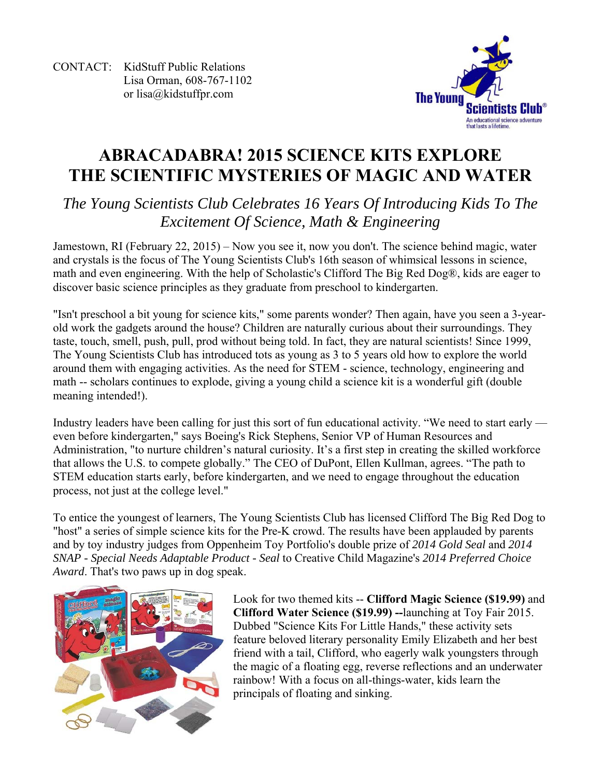CONTACT: KidStuff Public Relations Lisa Orman, 608-767-1102 or lisa@kidstuffpr.com



# **ABRACADABRA! 2015 SCIENCE KITS EXPLORE THE SCIENTIFIC MYSTERIES OF MAGIC AND WATER**

## *The Young Scientists Club Celebrates 16 Years Of Introducing Kids To The Excitement Of Science, Math & Engineering*

Jamestown, RI (February 22, 2015) – Now you see it, now you don't. The science behind magic, water and crystals is the focus of The Young Scientists Club's 16th season of whimsical lessons in science, math and even engineering. With the help of Scholastic's Clifford The Big Red Dog®, kids are eager to discover basic science principles as they graduate from preschool to kindergarten.

"Isn't preschool a bit young for science kits," some parents wonder? Then again, have you seen a 3-yearold work the gadgets around the house? Children are naturally curious about their surroundings. They taste, touch, smell, push, pull, prod without being told. In fact, they are natural scientists! Since 1999, The Young Scientists Club has introduced tots as young as 3 to 5 years old how to explore the world around them with engaging activities. As the need for STEM - science, technology, engineering and math -- scholars continues to explode, giving a young child a science kit is a wonderful gift (double meaning intended!).

Industry leaders have been calling for just this sort of fun educational activity. "We need to start early even before kindergarten," says Boeing's Rick Stephens, Senior VP of Human Resources and Administration, "to nurture children's natural curiosity. It's a first step in creating the skilled workforce that allows the U.S. to compete globally." The CEO of DuPont, Ellen Kullman, agrees. "The path to STEM education starts early, before kindergarten, and we need to engage throughout the education process, not just at the college level."

To entice the youngest of learners, The Young Scientists Club has licensed Clifford The Big Red Dog to "host" a series of simple science kits for the Pre-K crowd. The results have been applauded by parents and by toy industry judges from Oppenheim Toy Portfolio's double prize of *2014 Gold Seal* and *2014 SNAP - Special Needs Adaptable Product - Seal* to Creative Child Magazine's *2014 Preferred Choice Award*. That's two paws up in dog speak.



Look for two themed kits -- **Clifford Magic Science (\$19.99)** and **Clifford Water Science (\$19.99) --**launching at Toy Fair 2015. Dubbed "Science Kits For Little Hands," these activity sets feature beloved literary personality Emily Elizabeth and her best friend with a tail, Clifford, who eagerly walk youngsters through the magic of a floating egg, reverse reflections and an underwater rainbow! With a focus on all-things-water, kids learn the principals of floating and sinking.